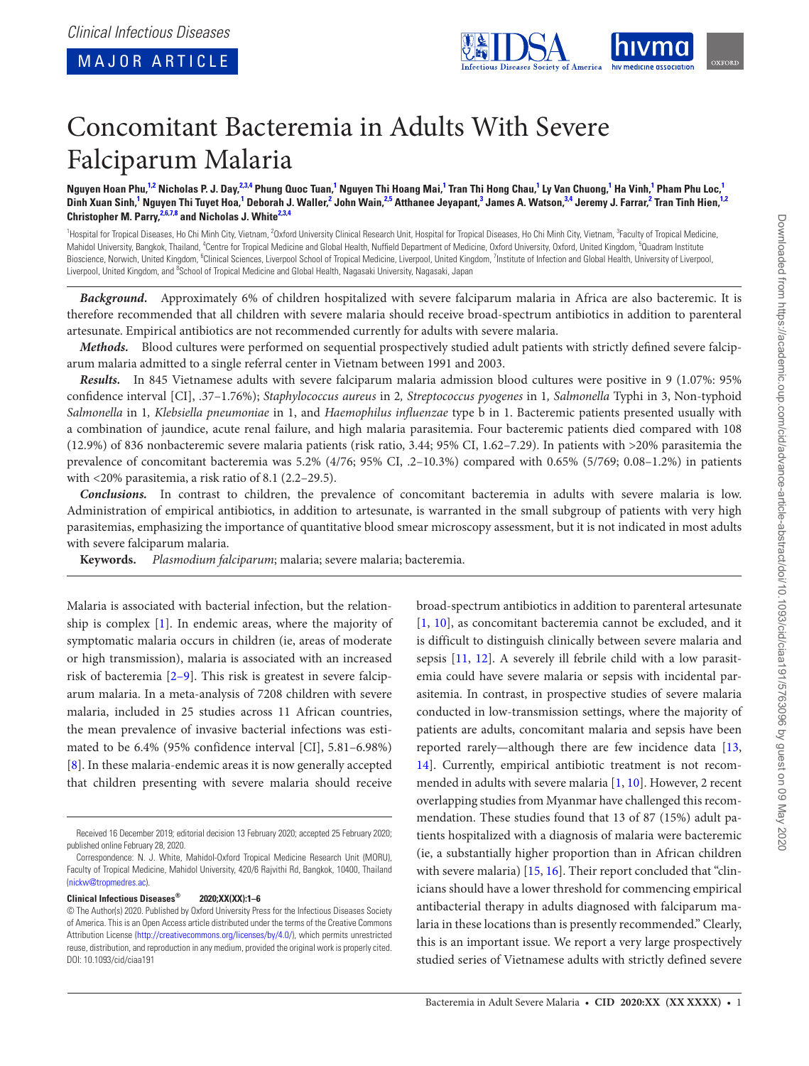<span id="page-0-6"></span><span id="page-0-4"></span><span id="page-0-2"></span>

# Concomitant Bacteremia in Adults With Severe Falciparum Malaria

Nguyen Hoan Phu,<sup>[1](#page-0-0)[,2](#page-0-1)</sup> Nicholas P. J. Day,<sup>[2](#page-0-1)[,3,](#page-0-2)[4](#page-0-3)</sup> Phung Quoc Tuan,<sup>1</sup> Nguyen Thi Hoang Mai,<sup>1</sup> Tran Thi Hong Chau,<sup>1</sup> Ly Van Chuong,<sup>1</sup> Ha Vinh,<sup>1</sup> Pham Phu Loc,<sup>1</sup> Dinh Xuan Sinh,<sup>[1](#page-0-0)</sup> Nguyen Thi Tuyet Hoa,<sup>1</sup> Deborah J. Waller,<sup>[2](#page-0-1)</sup> John Wain,<sup>[2,](#page-0-1)[5](#page-0-4)</sup> Atthanee Jeyapant,<sup>[3](#page-0-2)</sup> James A. Watson,<sup>3[,4](#page-0-3)</sup> Jeremy J. Farrar,<sup>2</sup> Tran Tinh Hien,<sup>1,2</sup> **Christopher M. Parry, [2](#page-0-1)[,6,](#page-0-5)[7](#page-0-6)[,8](#page-0-7) and Nicholas J. Whit[e2,](#page-0-1)[3](#page-0-2)[,4](#page-0-3)**

<span id="page-0-5"></span><span id="page-0-3"></span><span id="page-0-1"></span><span id="page-0-0"></span><sup>1</sup>Hospital for Tropical Diseases, Ho Chi Minh City, Vietnam, <sup>2</sup>Oxford University Clinical Research Unit, Hospital for Tropical Diseases, Ho Chi Minh City, Vietnam, <sup>3</sup>Faculty of Tropical Medicine, Mahidol University, Bangkok, Thailand, <sup>4</sup>Centre for Tropical Medicine and Global Health, Nuffield Department of Medicine, Oxford University, Oxford, United Kingdom, <sup>5</sup>Quadram Institute Bioscience, Norwich, United Kingdom, <sup>6</sup>Clinical Sciences, Liverpool School of Tropical Medicine, Liverpool, United Kingdom, <sup>7</sup>Institute of Infection and Global Health, University of Liverpool, Liverpool, United Kingdom, and <sup>8</sup>School of Tropical Medicine and Global Health, Nagasaki University, Nagasaki, Japan

<span id="page-0-7"></span>*Background.* Approximately 6% of children hospitalized with severe falciparum malaria in Africa are also bacteremic. It is therefore recommended that all children with severe malaria should receive broad-spectrum antibiotics in addition to parenteral artesunate. Empirical antibiotics are not recommended currently for adults with severe malaria.

*Methods.* Blood cultures were performed on sequential prospectively studied adult patients with strictly defined severe falciparum malaria admitted to a single referral center in Vietnam between 1991 and 2003.

*Results.* In 845 Vietnamese adults with severe falciparum malaria admission blood cultures were positive in 9 (1.07%: 95% confidence interval [CI], .37–1.76%); *Staphylococcus aureus* in 2*, Streptococcus pyogenes* in 1*, Salmonella* Typhi in 3, Non-typhoid *Salmonella* in 1*, Klebsiella pneumoniae* in 1, and *Haemophilus influenzae* type b in 1. Bacteremic patients presented usually with a combination of jaundice, acute renal failure, and high malaria parasitemia. Four bacteremic patients died compared with 108 (12.9%) of 836 nonbacteremic severe malaria patients (risk ratio, 3.44; 95% CI, 1.62–7.29). In patients with >20% parasitemia the prevalence of concomitant bacteremia was 5.2% (4/76; 95% CI, .2–10.3%) compared with 0.65% (5/769; 0.08–1.2%) in patients with <20% parasitemia, a risk ratio of 8.1 (2.2–29.5).

*Conclusions.* In contrast to children, the prevalence of concomitant bacteremia in adults with severe malaria is low. Administration of empirical antibiotics, in addition to artesunate, is warranted in the small subgroup of patients with very high parasitemias, emphasizing the importance of quantitative blood smear microscopy assessment, but it is not indicated in most adults with severe falciparum malaria.

**Keywords.** *Plasmodium falciparum*; malaria; severe malaria; bacteremia.

Malaria is associated with bacterial infection, but the relationship is complex [[1](#page-4-0)]. In endemic areas, where the majority of symptomatic malaria occurs in children (ie, areas of moderate or high transmission), malaria is associated with an increased risk of bacteremia [2–9]. This risk is greatest in severe falciparum malaria. In a meta-analysis of 7208 children with severe malaria, included in 25 studies across 11 African countries, the mean prevalence of invasive bacterial infections was estimated to be 6.4% (95% confidence interval [CI], 5.81–6.98%) [\[8\]](#page-4-1). In these malaria-endemic areas it is now generally accepted that children presenting with severe malaria should receive

## **Clinical Infectious Diseases® 2020;XX(XX):1–6**

broad-spectrum antibiotics in addition to parenteral artesunate [\[1,](#page-4-0) [10](#page-4-2)], as concomitant bacteremia cannot be excluded, and it is difficult to distinguish clinically between severe malaria and sepsis [[11,](#page-4-3) [12](#page-4-4)]. A severely ill febrile child with a low parasitemia could have severe malaria or sepsis with incidental parasitemia. In contrast, in prospective studies of severe malaria conducted in low-transmission settings, where the majority of patients are adults, concomitant malaria and sepsis have been reported rarely—although there are few incidence data [[13,](#page-4-5) [14](#page-4-6)]. Currently, empirical antibiotic treatment is not recommended in adults with severe malaria [[1,](#page-4-0) [10\]](#page-4-2). However, 2 recent overlapping studies from Myanmar have challenged this recommendation. These studies found that 13 of 87 (15%) adult patients hospitalized with a diagnosis of malaria were bacteremic (ie, a substantially higher proportion than in African children with severe malaria) [[15,](#page-4-7) [16](#page-5-0)]. Their report concluded that "clinicians should have a lower threshold for commencing empirical antibacterial therapy in adults diagnosed with falciparum malaria in these locations than is presently recommended." Clearly, this is an important issue. We report a very large prospectively studied series of Vietnamese adults with strictly defined severe

Received 16 December 2019; editorial decision 13 February 2020; accepted 25 February 2020; published online February 28, 2020.

Correspondence: N. J. White, Mahidol-Oxford Tropical Medicine Research Unit (MORU), Faculty of Tropical Medicine, Mahidol University, 420/6 Rajvithi Rd, Bangkok, 10400, Thailand ([nickw@tropmedres.ac](mailto:nickw@tropmedres.ac?subject=)).

<sup>©</sup> The Author(s) 2020. Published by Oxford University Press for the Infectious Diseases Society of America. This is an Open Access article distributed under the terms of the Creative Commons Attribution License ([http://creativecommons.org/licenses/by/4.0/\)](http://creativecommons.org/licenses/by/4.0/), which permits unrestricted reuse, distribution, and reproduction in any medium, provided the original work is properly cited. DOI: 10.1093/cid/ciaa191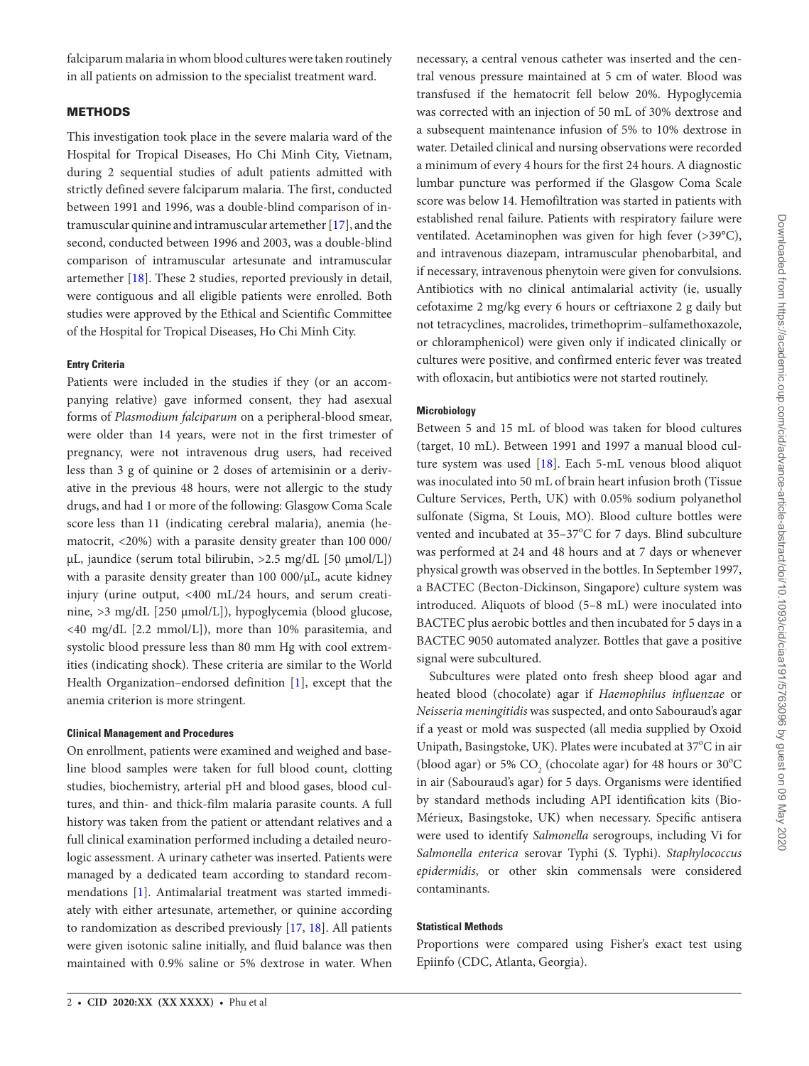falciparum malaria in whom blood cultures were taken routinely in all patients on admission to the specialist treatment ward.

## **METHODS**

This investigation took place in the severe malaria ward of the Hospital for Tropical Diseases, Ho Chi Minh City, Vietnam, during 2 sequential studies of adult patients admitted with strictly defined severe falciparum malaria. The first, conducted between 1991 and 1996, was a double-blind comparison of intramuscular quinine and intramuscular artemether [\[17](#page-5-1)], and the second, conducted between 1996 and 2003, was a double-blind comparison of intramuscular artesunate and intramuscular artemether [[18\]](#page-5-2). These 2 studies, reported previously in detail, were contiguous and all eligible patients were enrolled. Both studies were approved by the Ethical and Scientific Committee of the Hospital for Tropical Diseases, Ho Chi Minh City.

## **Entry Criteria**

Patients were included in the studies if they (or an accompanying relative) gave informed consent, they had asexual forms of *Plasmodium falciparum* on a peripheral-blood smear, were older than 14 years, were not in the first trimester of pregnancy, were not intravenous drug users, had received less than 3 g of quinine or 2 doses of artemisinin or a derivative in the previous 48 hours, were not allergic to the study drugs, and had 1 or more of the following: Glasgow Coma Scale score less than 11 (indicating cerebral malaria), anemia (hematocrit, <20%) with a parasite density greater than 100 000/ μL, jaundice (serum total bilirubin,  $>$ 2.5 mg/dL [50 μmol/L]) with a parasite density greater than 100 000/μL, acute kidney injury (urine output, <400 mL/24 hours, and serum creatinine, >3 mg/dL [250 µmol/L]), hypoglycemia (blood glucose, <40 mg/dL [2.2 mmol/L]), more than 10% parasitemia, and systolic blood pressure less than 80 mm Hg with cool extremities (indicating shock). These criteria are similar to the World Health Organization–endorsed definition [\[1\]](#page-4-0), except that the anemia criterion is more stringent.

## **Clinical Management and Procedures**

On enrollment, patients were examined and weighed and baseline blood samples were taken for full blood count, clotting studies, biochemistry, arterial pH and blood gases, blood cultures, and thin- and thick-film malaria parasite counts. A full history was taken from the patient or attendant relatives and a full clinical examination performed including a detailed neurologic assessment. A urinary catheter was inserted. Patients were managed by a dedicated team according to standard recommendations [[1](#page-4-0)]. Antimalarial treatment was started immediately with either artesunate, artemether, or quinine according to randomization as described previously [[17](#page-5-1), [18\]](#page-5-2). All patients were given isotonic saline initially, and fluid balance was then maintained with 0.9% saline or 5% dextrose in water. When

necessary, a central venous catheter was inserted and the central venous pressure maintained at 5 cm of water. Blood was transfused if the hematocrit fell below 20%. Hypoglycemia was corrected with an injection of 50 mL of 30% dextrose and a subsequent maintenance infusion of 5% to 10% dextrose in water. Detailed clinical and nursing observations were recorded a minimum of every 4 hours for the first 24 hours. A diagnostic lumbar puncture was performed if the Glasgow Coma Scale score was below 14. Hemofiltration was started in patients with established renal failure. Patients with respiratory failure were ventilated. Acetaminophen was given for high fever (>39°C), and intravenous diazepam, intramuscular phenobarbital, and if necessary, intravenous phenytoin were given for convulsions. Antibiotics with no clinical antimalarial activity (ie, usually cefotaxime 2 mg/kg every 6 hours or ceftriaxone 2 g daily but not tetracyclines, macrolides, trimethoprim–sulfamethoxazole, or chloramphenicol) were given only if indicated clinically or cultures were positive, and confirmed enteric fever was treated with ofloxacin, but antibiotics were not started routinely.

## **Microbiology**

Between 5 and 15 mL of blood was taken for blood cultures (target, 10 mL). Between 1991 and 1997 a manual blood culture system was used [\[18](#page-5-2)]. Each 5-mL venous blood aliquot was inoculated into 50 mL of brain heart infusion broth (Tissue Culture Services, Perth, UK) with 0.05% sodium polyanethol sulfonate (Sigma, St Louis, MO). Blood culture bottles were vented and incubated at  $35-37^{\circ}$ C for 7 days. Blind subculture was performed at 24 and 48 hours and at 7 days or whenever physical growth was observed in the bottles. In September 1997, a BACTEC (Becton-Dickinson, Singapore) culture system was introduced. Aliquots of blood (5–8 mL) were inoculated into BACTEC plus aerobic bottles and then incubated for 5 days in a BACTEC 9050 automated analyzer. Bottles that gave a positive signal were subcultured.

Subcultures were plated onto fresh sheep blood agar and heated blood (chocolate) agar if *Haemophilus influenzae* or *Neisseria meningitidis* was suspected, and onto Sabouraud's agar if a yeast or mold was suspected (all media supplied by Oxoid Unipath, Basingstoke, UK). Plates were incubated at 37°C in air (blood agar) or 5%  $\mathrm{CO}_2$  (chocolate agar) for 48 hours or  $30^{\circ}\mathrm{C}$ in air (Sabouraud's agar) for 5 days. Organisms were identified by standard methods including API identification kits (Bio-Mérieux, Basingstoke, UK) when necessary. Specific antisera were used to identify *Salmonella* serogroups, including Vi for *Salmonella enterica* serovar Typhi (*S.* Typhi). *Staphylococcus epidermidis*, or other skin commensals were considered contaminants.

#### **Statistical Methods**

Proportions were compared using Fisher's exact test using Epiinfo (CDC, Atlanta, Georgia).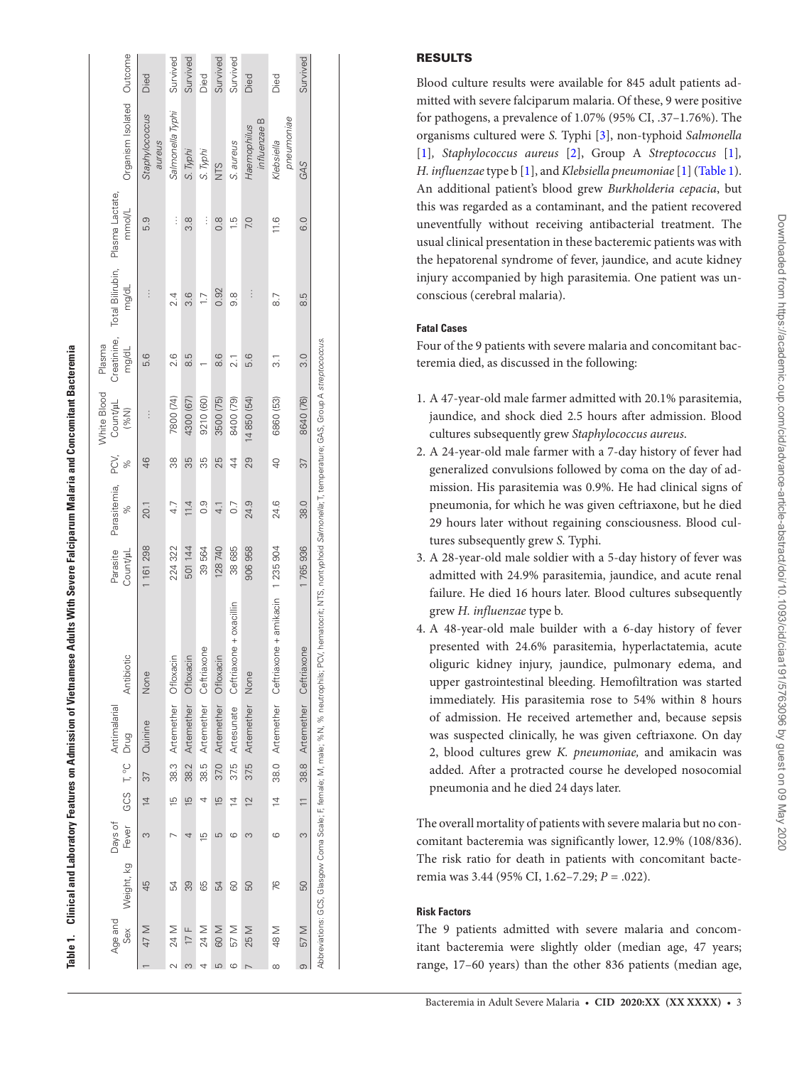|          |                |            |                  |                |                      |                      |                                                                                                                                                                         |                      |                     |                | White Blood         | Plasma               |                           |                           |                             |          |
|----------|----------------|------------|------------------|----------------|----------------------|----------------------|-------------------------------------------------------------------------------------------------------------------------------------------------------------------------|----------------------|---------------------|----------------|---------------------|----------------------|---------------------------|---------------------------|-----------------------------|----------|
|          | Age and<br>Sex | Weight, kg | Days of<br>Fever |                | GCS T <sub>9</sub> C | Antimalarial<br>Drug | Antibiotic                                                                                                                                                              | Parasite<br>Count/µL | Parasitemia,<br>Sp. | PCV,<br>×,     | Count/µL<br>$(96N)$ | Creatinine,<br>mg/dL | Total Bilirubin,<br>mg/dL | Plasma Lactate,<br>mmol/L | Organism Isolated Outcome   |          |
|          | 47 M           | 45         | m                | $\overline{4}$ | 37                   | Quinine              | None                                                                                                                                                                    | 161 298              | 20.1                | 46             | $\vdots$            | 5.6                  | $\vdots$                  | 5.9                       | Staphylococcus<br>aureus    | Died     |
|          | 24 M           | 54         |                  | $\overline{5}$ |                      |                      | 38.3 Artemether Ofloxacin                                                                                                                                               | 224 322              | 4.7                 | 88             | 7800 (74)           | 2.6                  | 2.4                       | $\vdots$                  | Salmonella Typhi            | Survived |
| S        | 17 $F$         | 39         | 4                | $\frac{5}{5}$  | 38.2                 | Artemether           | Ofloxacin                                                                                                                                                               | 501 144              | 11.4                | 35             | 4300 (67)           | 8.5                  | 3.6                       | 3.8                       | S. Typhi                    | Survived |
|          | 24 M           | 65         | $\overline{5}$   | 4              |                      |                      | 38.5 Artemether Ceftriaxone                                                                                                                                             | 39564                | 0.9                 | 35             | 9210 (60)           |                      | 1.7                       | $\vdots$                  | S. Typhi                    | Died     |
| LO       | 60 M           | 54         | 5                | $\frac{15}{2}$ | 37.0                 | Artemether           | Ofloxacin                                                                                                                                                               | 128 740              | 4.1                 | 25             | 3500 (75)           | 8.6                  | 0.92                      | $\frac{8}{2}$             | NTS                         | Survived |
| ဖ        | 57 M           | 80         | ဖ                | $\overline{4}$ | 375                  | Artesunate           | $one + oxacillin$<br>Ceftriax                                                                                                                                           | 38 685               | $\overline{0}$ .    | 4              | 8400 (79)           | 2.1                  | 8.6                       | $\frac{5}{1}$             | S. aureus                   | Survived |
|          | 25 M           | 50         | Ω                | $\overline{2}$ | 37.5                 | Artemether           | None                                                                                                                                                                    | 906958               | 24.9                | 29             | 4 850 (54)          | 5.6                  | $\vdots$                  | 7.0                       | influenzae B<br>Haemophilus | Died     |
| $\infty$ | <b>M87</b>     | 76         | ဖ                | $\overline{4}$ |                      |                      | 38.0 Artemether Ceftriaxone + amikacin 1 235 904                                                                                                                        |                      | 24.6                | $\overline{a}$ | 6860 (53)           | ಸ                    | $\overline{8}$            | 11.6                      | pneumoniae<br>Klebsiella    | Died     |
| $\infty$ | 57 M           | 50         | S                |                | 38.8                 | Artemether           | Ceftriaxone                                                                                                                                                             | 1765936              | 38.0                | 37             | 8640 (76)           | $\frac{0}{3}$        | 3.8                       | 0.0                       | GAS                         | Survived |
|          |                |            |                  |                |                      |                      | Abbreviations: GCS, Glasgow Coma Scale; F, female; M, male; %N, % neutrophils; PCV, hematoorit; NTS, nontyphoid Salmonella; T, temperature; GAS, Group A streptococcus. |                      |                     |                |                     |                      |                           |                           |                             |          |

# RESULTS

Blood culture results were available for 845 adult patients ad mitted with severe falciparum malaria. Of these, 9 were positive for pathogens, a prevalence of 1.07% (95% CI, .37–1.76%). The organisms cultured were *S.* Typhi [ [3](#page-4-8)], non-typhoid *Salmonella* [ [1](#page-4-0) ]*, Staphylococcus aureus* [ [2\]](#page-4-9), Group A *Streptococcus* [ [1](#page-4-0) ]*, H. influenzae* type b [ [1\]](#page-4-0), and *Klebsiella pneumoniae* [ [1\]](#page-4-0) ([Table 1](#page-2-0)). An additional patient's blood grew *Burkholderia cepacia*, but this was regarded as a contaminant, and the patient recovered uneventfully without receiving antibacterial treatment. The usual clinical presentation in these bacteremic patients was with the hepatorenal syndrome of fever, jaundice, and acute kidney injury accompanied by high parasitemia. One patient was un conscious (cerebral malaria).

# **Fatal Cases**

Four of the 9 patients with severe malaria and concomitant bac teremia died, as discussed in the following:

- 1. A 47-year-old male farmer admitted with 20.1% parasitemia, jaundice, and shock died 2.5 hours after admission. Blood cultures subsequently grew *Staphylococcus aureus* .
- 2. A 24-year-old male farmer with a 7-day history of fever had generalized convulsions followed by coma on the day of ad mission. His parasitemia was 0.9%. He had clinical signs of pneumonia, for which he was given ceftriaxone, but he died 29 hours later without regaining consciousness. Blood cul tures subsequently grew *S.* Typhi.
- 3. A 28-year-old male soldier with a 5-day history of fever was admitted with 24.9% parasitemia, jaundice, and acute renal failure. He died 16 hours later. Blood cultures subsequently grew *H. influenzae* type b.
- 4. A 48-year-old male builder with a 6-day history of fever presented with 24.6% parasitemia, hyperlactatemia, acute oliguric kidney injury, jaundice, pulmonary edema, and upper gastrointestinal bleeding. Hemofiltration was started immediately. His parasitemia rose to 54% within 8 hours of admission. He received artemether and, because sepsis was suspected clinically, he was given ceftriaxone. On day 2, blood cultures grew *K. pneumoniae,* and amikacin was added. After a protracted course he developed nosocomial pneumonia and he died 24 days later.

The overall mortality of patients with severe malaria but no con comitant bacteremia was significantly lower, 12.9% (108/836). The risk ratio for death in patients with concomitant bacte remia was 3.44 (95% CI, 1.62–7.29; *P* = .022).

# <span id="page-2-0"></span>**Risk Factors**

The 9 patients admitted with severe malaria and concom itant bacteremia were slightly older (median age, 47 years; range, 17–60 years) than the other 836 patients (median age,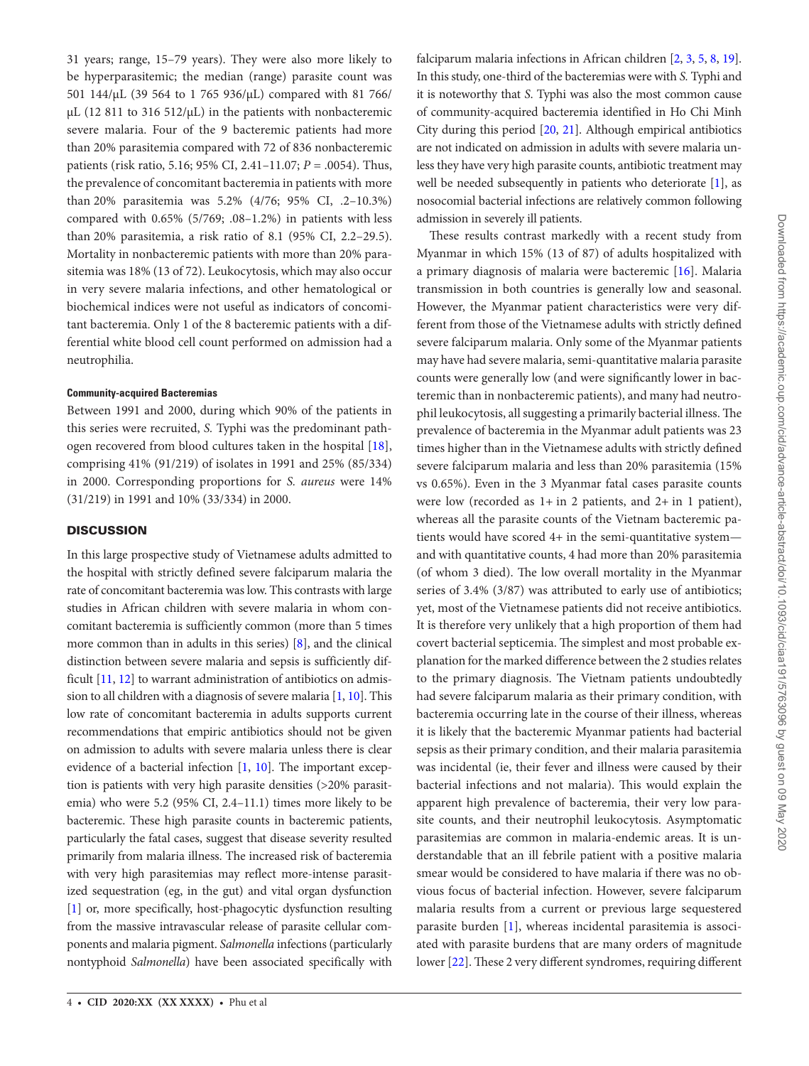31 years; range, 15–79 years). They were also more likely to be hyperparasitemic; the median (range) parasite count was 501 144/μL (39 564 to 1 765 936/μL) compared with 81 766/ μL (12 811 to 316 512/μL) in the patients with nonbacteremic severe malaria. Four of the 9 bacteremic patients had more than 20% parasitemia compared with 72 of 836 nonbacteremic patients (risk ratio, 5.16; 95% CI, 2.41–11.07; *P* = .0054). Thus, the prevalence of concomitant bacteremia in patients with more than 20% parasitemia was 5.2% (4/76; 95% CI, .2–10.3%) compared with 0.65% (5/769; .08–1.2%) in patients with less than 20% parasitemia, a risk ratio of 8.1 (95% CI, 2.2–29.5). Mortality in nonbacteremic patients with more than 20% parasitemia was 18% (13 of 72). Leukocytosis, which may also occur in very severe malaria infections, and other hematological or biochemical indices were not useful as indicators of concomitant bacteremia. Only 1 of the 8 bacteremic patients with a differential white blood cell count performed on admission had a neutrophilia.

## **Community-acquired Bacteremias**

Between 1991 and 2000, during which 90% of the patients in this series were recruited, *S.* Typhi was the predominant pathogen recovered from blood cultures taken in the hospital [\[18\]](#page-5-2), comprising 41% (91/219) of isolates in 1991 and 25% (85/334) in 2000. Corresponding proportions for *S. aureus* were 14% (31/219) in 1991 and 10% (33/334) in 2000.

## **DISCUSSION**

In this large prospective study of Vietnamese adults admitted to the hospital with strictly defined severe falciparum malaria the rate of concomitant bacteremia was low. This contrasts with large studies in African children with severe malaria in whom concomitant bacteremia is sufficiently common (more than 5 times more common than in adults in this series) [\[8\]](#page-4-1), and the clinical distinction between severe malaria and sepsis is sufficiently difficult [[11,](#page-4-3) [12\]](#page-4-4) to warrant administration of antibiotics on admission to all children with a diagnosis of severe malaria [\[1](#page-4-0), [10](#page-4-2)]. This low rate of concomitant bacteremia in adults supports current recommendations that empiric antibiotics should not be given on admission to adults with severe malaria unless there is clear evidence of a bacterial infection [[1](#page-4-0), [10](#page-4-2)]. The important exception is patients with very high parasite densities (>20% parasitemia) who were 5.2 (95% CI, 2.4–11.1) times more likely to be bacteremic. These high parasite counts in bacteremic patients, particularly the fatal cases, suggest that disease severity resulted primarily from malaria illness. The increased risk of bacteremia with very high parasitemias may reflect more-intense parasitized sequestration (eg, in the gut) and vital organ dysfunction [\[1\]](#page-4-0) or, more specifically, host-phagocytic dysfunction resulting from the massive intravascular release of parasite cellular components and malaria pigment. *Salmonella* infections (particularly nontyphoid *Salmonella*) have been associated specifically with

falciparum malaria infections in African children [\[2,](#page-4-9) [3](#page-4-8), [5](#page-4-10), [8](#page-4-1), [19\]](#page-5-3). In this study, one-third of the bacteremias were with *S.* Typhi and it is noteworthy that *S*. Typhi was also the most common cause of community-acquired bacteremia identified in Ho Chi Minh City during this period [\[20](#page-5-4), [21](#page-5-5)]. Although empirical antibiotics are not indicated on admission in adults with severe malaria unless they have very high parasite counts, antibiotic treatment may well be needed subsequently in patients who deteriorate [[1](#page-4-0)], as nosocomial bacterial infections are relatively common following admission in severely ill patients.

These results contrast markedly with a recent study from Myanmar in which 15% (13 of 87) of adults hospitalized with a primary diagnosis of malaria were bacteremic [[16](#page-5-0)]. Malaria transmission in both countries is generally low and seasonal. However, the Myanmar patient characteristics were very different from those of the Vietnamese adults with strictly defined severe falciparum malaria. Only some of the Myanmar patients may have had severe malaria, semi-quantitative malaria parasite counts were generally low (and were significantly lower in bacteremic than in nonbacteremic patients), and many had neutrophil leukocytosis, all suggesting a primarily bacterial illness. The prevalence of bacteremia in the Myanmar adult patients was 23 times higher than in the Vietnamese adults with strictly defined severe falciparum malaria and less than 20% parasitemia (15% vs 0.65%). Even in the 3 Myanmar fatal cases parasite counts were low (recorded as  $1+$  in 2 patients, and  $2+$  in 1 patient), whereas all the parasite counts of the Vietnam bacteremic patients would have scored 4+ in the semi-quantitative system and with quantitative counts, 4 had more than 20% parasitemia (of whom 3 died). The low overall mortality in the Myanmar series of 3.4% (3/87) was attributed to early use of antibiotics; yet, most of the Vietnamese patients did not receive antibiotics. It is therefore very unlikely that a high proportion of them had covert bacterial septicemia. The simplest and most probable explanation for the marked difference between the 2 studies relates to the primary diagnosis. The Vietnam patients undoubtedly had severe falciparum malaria as their primary condition, with bacteremia occurring late in the course of their illness, whereas it is likely that the bacteremic Myanmar patients had bacterial sepsis as their primary condition, and their malaria parasitemia was incidental (ie, their fever and illness were caused by their bacterial infections and not malaria). This would explain the apparent high prevalence of bacteremia, their very low parasite counts, and their neutrophil leukocytosis. Asymptomatic parasitemias are common in malaria-endemic areas. It is understandable that an ill febrile patient with a positive malaria smear would be considered to have malaria if there was no obvious focus of bacterial infection. However, severe falciparum malaria results from a current or previous large sequestered parasite burden [\[1\]](#page-4-0), whereas incidental parasitemia is associated with parasite burdens that are many orders of magnitude lower [\[22](#page-5-6)]. These 2 very different syndromes, requiring different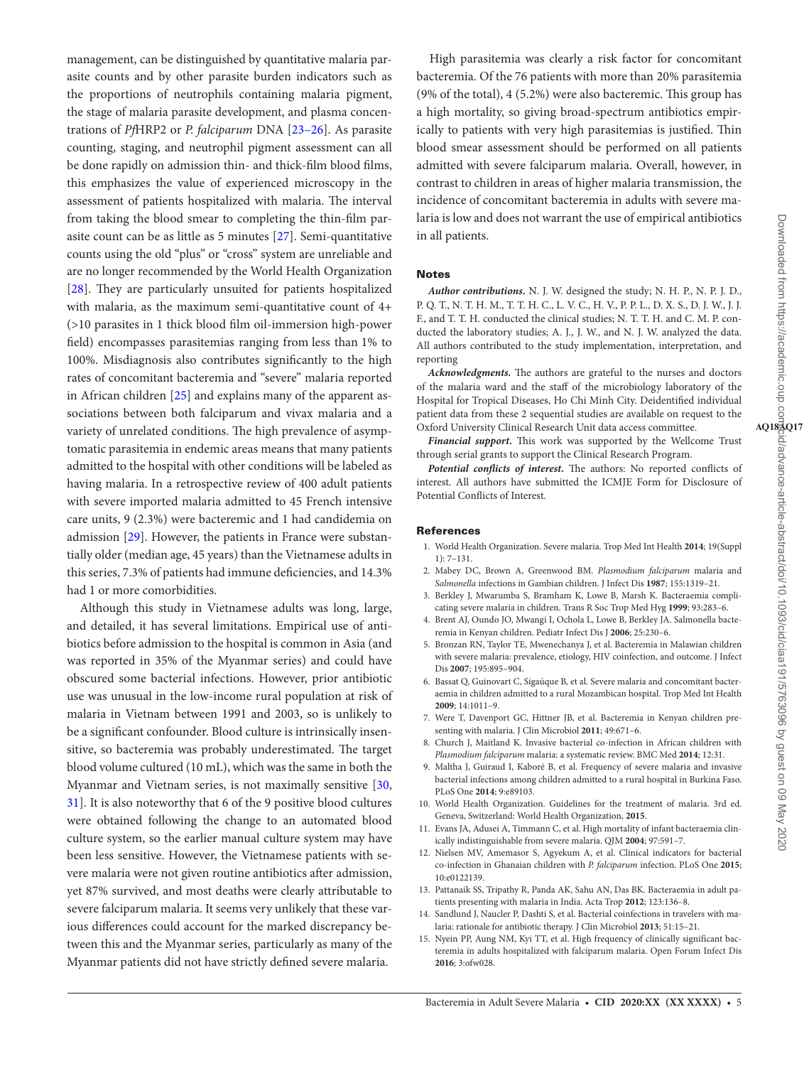management, can be distinguished by quantitative malaria parasite counts and by other parasite burden indicators such as the proportions of neutrophils containing malaria pigment, the stage of malaria parasite development, and plasma concentrations of *Pf*HRP2 or *P. falciparum* DNA [23–26]. As parasite counting, staging, and neutrophil pigment assessment can all be done rapidly on admission thin- and thick-film blood films, this emphasizes the value of experienced microscopy in the assessment of patients hospitalized with malaria. The interval from taking the blood smear to completing the thin-film parasite count can be as little as 5 minutes [\[27\]](#page-5-7). Semi-quantitative counts using the old "plus" or "cross" system are unreliable and are no longer recommended by the World Health Organization [\[28](#page-5-8)]. They are particularly unsuited for patients hospitalized with malaria, as the maximum semi-quantitative count of 4+ (>10 parasites in 1 thick blood film oil-immersion high-power field) encompasses parasitemias ranging from less than 1% to 100%. Misdiagnosis also contributes significantly to the high rates of concomitant bacteremia and "severe" malaria reported in African children [\[25](#page-5-9)] and explains many of the apparent associations between both falciparum and vivax malaria and a variety of unrelated conditions. The high prevalence of asymptomatic parasitemia in endemic areas means that many patients admitted to the hospital with other conditions will be labeled as having malaria. In a retrospective review of 400 adult patients with severe imported malaria admitted to 45 French intensive care units, 9 (2.3%) were bacteremic and 1 had candidemia on admission [[29\]](#page-5-10). However, the patients in France were substantially older (median age, 45 years) than the Vietnamese adults in this series, 7.3% of patients had immune deficiencies, and 14.3% had 1 or more comorbidities.

Although this study in Vietnamese adults was long, large, and detailed, it has several limitations. Empirical use of antibiotics before admission to the hospital is common in Asia (and was reported in 35% of the Myanmar series) and could have obscured some bacterial infections. However, prior antibiotic use was unusual in the low-income rural population at risk of malaria in Vietnam between 1991 and 2003, so is unlikely to be a significant confounder. Blood culture is intrinsically insensitive, so bacteremia was probably underestimated. The target blood volume cultured (10 mL), which was the same in both the Myanmar and Vietnam series, is not maximally sensitive [[30,](#page-5-11) [31](#page-5-12)]. It is also noteworthy that 6 of the 9 positive blood cultures were obtained following the change to an automated blood culture system, so the earlier manual culture system may have been less sensitive. However, the Vietnamese patients with severe malaria were not given routine antibiotics after admission, yet 87% survived, and most deaths were clearly attributable to severe falciparum malaria. It seems very unlikely that these various differences could account for the marked discrepancy between this and the Myanmar series, particularly as many of the Myanmar patients did not have strictly defined severe malaria.

High parasitemia was clearly a risk factor for concomitant bacteremia. Of the 76 patients with more than 20% parasitemia (9% of the total), 4 (5.2%) were also bacteremic. This group has a high mortality, so giving broad-spectrum antibiotics empirically to patients with very high parasitemias is justified. Thin blood smear assessment should be performed on all patients admitted with severe falciparum malaria. Overall, however, in contrast to children in areas of higher malaria transmission, the incidence of concomitant bacteremia in adults with severe malaria is low and does not warrant the use of empirical antibiotics in all patients.

### Notes

*Author contributions***.** N. J. W. designed the study; N. H. P., N. P. J. D., P. Q. T., N. T. H. M., T. T. H. C., L. V. C., H. V., P. P. L., D. X. S., D. J. W., J. J. F., and T. T. H. conducted the clinical studies; N. T. T. H. and C. M. P. conducted the laboratory studies; A. J., J. W., and N. J. W. analyzed the data. All authors contributed to the study implementation, interpretation, and reporting

*Acknowledgments***.** The authors are grateful to the nurses and doctors of the malaria ward and the staff of the microbiology laboratory of the Hospital for Tropical Diseases, Ho Chi Minh City. Deidentified individual patient data from these 2 sequential studies are available on request to the Oxford University Clinical Research Unit data access committee.

*Financial support***.** This work was supported by the Wellcome Trust through serial grants to support the Clinical Research Program.

*Potential conflicts of interest.* The authors: No reported conflicts of interest. All authors have submitted the ICMJE Form for Disclosure of Potential Conflicts of Interest.

#### References

- <span id="page-4-0"></span>1. World Health Organization. Severe malaria. Trop Med Int Health **2014**; 19(Suppl 1): 7–131.
- <span id="page-4-9"></span>2. Mabey DC, Brown A, Greenwood BM. *Plasmodium falciparum* malaria and *Salmonella* infections in Gambian children. J Infect Dis **1987**; 155:1319–21.
- <span id="page-4-8"></span>3. Berkley J, Mwarumba S, Bramham K, Lowe B, Marsh K. Bacteraemia complicating severe malaria in children. Trans R Soc Trop Med Hyg **1999**; 93:283–6.
- 4. Brent AJ, Oundo JO, Mwangi I, Ochola L, Lowe B, Berkley JA. Salmonella bacteremia in Kenyan children. Pediatr Infect Dis J **2006**; 25:230–6.
- <span id="page-4-10"></span>5. Bronzan RN, Taylor TE, Mwenechanya J, et al. Bacteremia in Malawian children with severe malaria: prevalence, etiology, HIV coinfection, and outcome. J Infect Dis **2007**; 195:895–904.
- 6. Bassat Q, Guinovart C, Sigaúque B, et al. Severe malaria and concomitant bacteraemia in children admitted to a rural Mozambican hospital. Trop Med Int Health **2009**; 14:1011–9.
- 7. Were T, Davenport GC, Hittner JB, et al. Bacteremia in Kenyan children presenting with malaria. J Clin Microbiol **2011**; 49:671–6.
- <span id="page-4-1"></span>8. Church J, Maitland K. Invasive bacterial co-infection in African children with *Plasmodium falciparum* malaria: a systematic review. BMC Med **2014**; 12:31.
- 9. Maltha J, Guiraud I, Kaboré B, et al. Frequency of severe malaria and invasive bacterial infections among children admitted to a rural hospital in Burkina Faso. PLoS One **2014**; 9:e89103.
- <span id="page-4-2"></span>10. World Health Organization. Guidelines for the treatment of malaria. 3rd ed. Geneva, Switzerland: World Health Organization, **2015**.
- <span id="page-4-3"></span>11. Evans JA, Adusei A, Timmann C, et al. High mortality of infant bacteraemia clinically indistinguishable from severe malaria. QJM **2004**; 97:591–7.
- <span id="page-4-4"></span>12. Nielsen MV, Amemasor S, Agyekum A, et al. Clinical indicators for bacterial co-infection in Ghanaian children with *P. falciparum* infection. PLoS One **2015**; 10:e0122139.
- <span id="page-4-5"></span>13. Pattanaik SS, Tripathy R, Panda AK, Sahu AN, Das BK. Bacteraemia in adult patients presenting with malaria in India. Acta Trop **2012**; 123:136–8.
- <span id="page-4-6"></span>14. Sandlund J, Naucler P, Dashti S, et al. Bacterial coinfections in travelers with malaria: rationale for antibiotic therapy. J Clin Microbiol **2013**; 51:15–21.
- <span id="page-4-7"></span>15. Nyein PP, Aung NM, Kyi TT, et al. High frequency of clinically significant bacteremia in adults hospitalized with falciparum malaria. Open Forum Infect Dis **2016**; 3:ofw028.